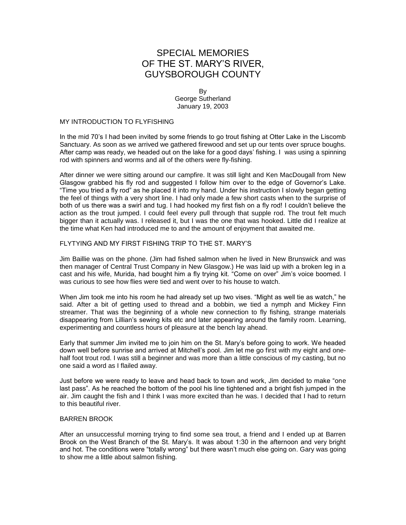# SPECIAL MEMORIES OF THE ST. MARY'S RIVER, GUYSBOROUGH COUNTY

By George Sutherland January 19, 2003

## MY INTRODUCTION TO FLYFISHING

In the mid 70's I had been invited by some friends to go trout fishing at Otter Lake in the Liscomb Sanctuary. As soon as we arrived we gathered firewood and set up our tents over spruce boughs. After camp was ready, we headed out on the lake for a good days' fishing. I was using a spinning rod with spinners and worms and all of the others were fly-fishing.

After dinner we were sitting around our campfire. It was still light and Ken MacDougall from New Glasgow grabbed his fly rod and suggested I follow him over to the edge of Governor's Lake. "Time you tried a fly rod" as he placed it into my hand. Under his instruction I slowly began getting the feel of things with a very short line. I had only made a few short casts when to the surprise of both of us there was a swirl and tug. I had hooked my first fish on a fly rod! I couldn't believe the action as the trout jumped. I could feel every pull through that supple rod. The trout felt much bigger than it actually was. I released it, but I was the one that was hooked. Little did I realize at the time what Ken had introduced me to and the amount of enjoyment that awaited me.

#### FLYTYING AND MY FIRST FISHING TRIP TO THE ST. MARY'S

Jim Baillie was on the phone. (Jim had fished salmon when he lived in New Brunswick and was then manager of Central Trust Company in New Glasgow.) He was laid up with a broken leg in a cast and his wife, Murida, had bought him a fly trying kit. "Come on over" Jim's voice boomed. I was curious to see how flies were tied and went over to his house to watch.

When Jim took me into his room he had already set up two vises. "Might as well tie as watch," he said. After a bit of getting used to thread and a bobbin, we tied a nymph and Mickey Finn streamer. That was the beginning of a whole new connection to fly fishing, strange materials disappearing from Lillian's sewing kits etc and later appearing around the family room. Learning, experimenting and countless hours of pleasure at the bench lay ahead.

Early that summer Jim invited me to join him on the St. Mary's before going to work. We headed down well before sunrise and arrived at Mitchell's pool. Jim let me go first with my eight and onehalf foot trout rod. I was still a beginner and was more than a little conscious of my casting, but no one said a word as I flailed away.

Just before we were ready to leave and head back to town and work, Jim decided to make "one last pass". As he reached the bottom of the pool his line tightened and a bright fish jumped in the air. Jim caught the fish and I think I was more excited than he was. I decided that I had to return to this beautiful river.

#### BARREN BROOK

After an unsuccessful morning trying to find some sea trout, a friend and I ended up at Barren Brook on the West Branch of the St. Mary's. It was about 1:30 in the afternoon and very bright and hot. The conditions were "totally wrong" but there wasn't much else going on. Gary was going to show me a little about salmon fishing.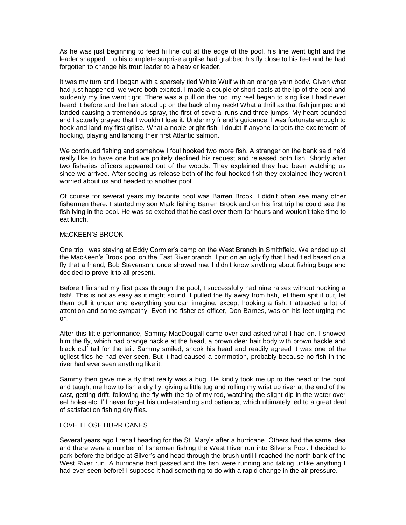As he was just beginning to feed hi line out at the edge of the pool, his line went tight and the leader snapped. To his complete surprise a grilse had grabbed his fly close to his feet and he had forgotten to change his trout leader to a heavier leader.

It was my turn and I began with a sparsely tied White Wulf with an orange yarn body. Given what had just happened, we were both excited. I made a couple of short casts at the lip of the pool and suddenly my line went tight. There was a pull on the rod, my reel began to sing like I had never heard it before and the hair stood up on the back of my neck! What a thrill as that fish jumped and landed causing a tremendous spray, the first of several runs and three jumps. My heart pounded and I actually prayed that I wouldn't lose it. Under my friend's guidance, I was fortunate enough to hook and land my first grilse. What a noble bright fish! I doubt if anyone forgets the excitement of hooking, playing and landing their first Atlantic salmon.

We continued fishing and somehow I foul hooked two more fish. A stranger on the bank said he'd really like to have one but we politely declined his request and released both fish. Shortly after two fisheries officers appeared out of the woods. They explained they had been watching us since we arrived. After seeing us release both of the foul hooked fish they explained they weren't worried about us and headed to another pool.

Of course for several years my favorite pool was Barren Brook. I didn't often see many other fishermen there. I started my son Mark fishing Barren Brook and on his first trip he could see the fish lying in the pool. He was so excited that he cast over them for hours and wouldn't take time to eat lunch.

# MaCKEEN'S BROOK

One trip I was staying at Eddy Cormier's camp on the West Branch in Smithfield. We ended up at the MacKeen's Brook pool on the East River branch. I put on an ugly fly that I had tied based on a fly that a friend, Bob Stevenson, once showed me. I didn't know anything about fishing bugs and decided to prove it to all present.

Before I finished my first pass through the pool, I successfully had nine raises without hooking a fish!. This is not as easy as it might sound. I pulled the fly away from fish, let them spit it out, let them pull it under and everything you can imagine, except hooking a fish. I attracted a lot of attention and some sympathy. Even the fisheries officer, Don Barnes, was on his feet urging me on.

After this little performance, Sammy MacDougall came over and asked what I had on. I showed him the fly, which had orange hackle at the head, a brown deer hair body with brown hackle and black calf tail for the tail. Sammy smiled, shook his head and readily agreed it was one of the ugliest flies he had ever seen. But it had caused a commotion, probably because no fish in the river had ever seen anything like it.

Sammy then gave me a fly that really was a bug. He kindly took me up to the head of the pool and taught me how to fish a dry fly, giving a little tug and rolling my wrist up river at the end of the cast, getting drift, following the fly with the tip of my rod, watching the slight dip in the water over eel holes etc. I'll never forget his understanding and patience, which ultimately led to a great deal of satisfaction fishing dry flies.

# LOVE THOSE HURRICANES

Several years ago I recall heading for the St. Mary's after a hurricane. Others had the same idea and there were a number of fishermen fishing the West River run into Silver's Pool. I decided to park before the bridge at Silver's and head through the brush until I reached the north bank of the West River run. A hurricane had passed and the fish were running and taking unlike anything I had ever seen before! I suppose it had something to do with a rapid change in the air pressure.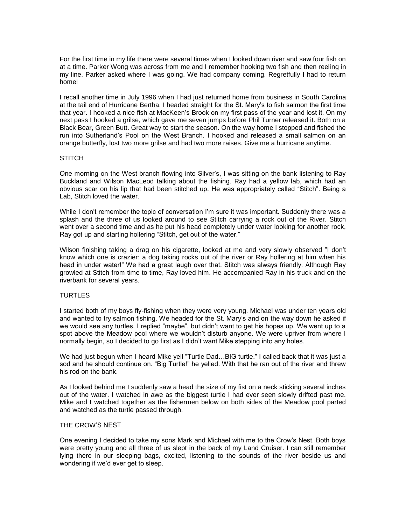For the first time in my life there were several times when I looked down river and saw four fish on at a time. Parker Wong was across from me and I remember hooking two fish and then reeling in my line. Parker asked where I was going. We had company coming. Regretfully I had to return home!

I recall another time in July 1996 when I had just returned home from business in South Carolina at the tail end of Hurricane Bertha. I headed straight for the St. Mary's to fish salmon the first time that year. I hooked a nice fish at MacKeen's Brook on my first pass of the year and lost it. On my next pass I hooked a grilse, which gave me seven jumps before Phil Turner released it. Both on a Black Bear, Green Butt. Great way to start the season. On the way home I stopped and fished the run into Sutherland's Pool on the West Branch. I hooked and released a small salmon on an orange butterfly, lost two more grilse and had two more raises. Give me a hurricane anytime.

## **STITCH**

One morning on the West branch flowing into Silver's, I was sitting on the bank listening to Ray Buckland and Wilson MacLeod talking about the fishing. Ray had a yellow lab, which had an obvious scar on his lip that had been stitched up. He was appropriately called "Stitch". Being a Lab, Stitch loved the water.

While I don't remember the topic of conversation I'm sure it was important. Suddenly there was a splash and the three of us looked around to see Stitch carrying a rock out of the River. Stitch went over a second time and as he put his head completely under water looking for another rock, Ray got up and starting hollering "Stitch, get out of the water."

Wilson finishing taking a drag on his cigarette, looked at me and very slowly observed "I don't know which one is crazier: a dog taking rocks out of the river or Ray hollering at him when his head in under water!" We had a great laugh over that. Stitch was always friendly. Although Ray growled at Stitch from time to time, Ray loved him. He accompanied Ray in his truck and on the riverbank for several years.

# TURTLES

I started both of my boys fly-fishing when they were very young. Michael was under ten years old and wanted to try salmon fishing. We headed for the St. Mary's and on the way down he asked if we would see any turtles. I replied "maybe", but didn't want to get his hopes up. We went up to a spot above the Meadow pool where we wouldn't disturb anyone. We were upriver from where I normally begin, so I decided to go first as I didn't want Mike stepping into any holes.

We had just begun when I heard Mike yell "Turtle Dad…BIG turtle." I called back that it was just a sod and he should continue on. "Big Turtle!" he yelled. With that he ran out of the river and threw his rod on the bank.

As I looked behind me I suddenly saw a head the size of my fist on a neck sticking several inches out of the water. I watched in awe as the biggest turtle I had ever seen slowly drifted past me. Mike and I watched together as the fishermen below on both sides of the Meadow pool parted and watched as the turtle passed through.

#### THE CROW'S NEST

One evening I decided to take my sons Mark and Michael with me to the Crow's Nest. Both boys were pretty young and all three of us slept in the back of my Land Cruiser. I can still remember lying there in our sleeping bags, excited, listening to the sounds of the river beside us and wondering if we'd ever get to sleep.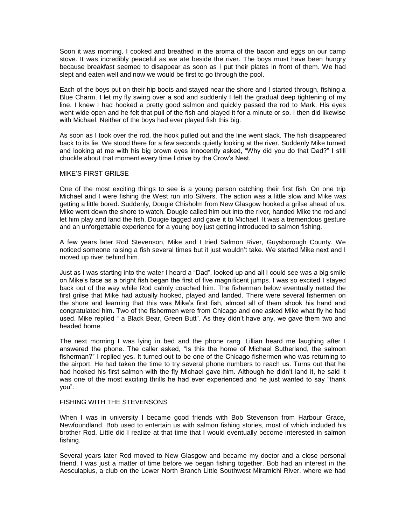Soon it was morning. I cooked and breathed in the aroma of the bacon and eggs on our camp stove. It was incredibly peaceful as we ate beside the river. The boys must have been hungry because breakfast seemed to disappear as soon as I put their plates in front of them. We had slept and eaten well and now we would be first to go through the pool.

Each of the boys put on their hip boots and stayed near the shore and I started through, fishing a Blue Charm. I let my fly swing over a sod and suddenly I felt the gradual deep tightening of my line. I knew I had hooked a pretty good salmon and quickly passed the rod to Mark. His eyes went wide open and he felt that pull of the fish and played it for a minute or so. I then did likewise with Michael. Neither of the boys had ever played fish this big.

As soon as I took over the rod, the hook pulled out and the line went slack. The fish disappeared back to its lie. We stood there for a few seconds quietly looking at the river. Suddenly Mike turned and looking at me with his big brown eyes innocently asked, "Why did you do that Dad?" I still chuckle about that moment every time I drive by the Crow's Nest.

## MIKE'S FIRST GRILSE

One of the most exciting things to see is a young person catching their first fish. On one trip Michael and I were fishing the West run into Silvers. The action was a little slow and Mike was getting a little bored. Suddenly, Dougie Chisholm from New Glasgow hooked a grilse ahead of us. Mike went down the shore to watch. Dougie called him out into the river, handed Mike the rod and let him play and land the fish. Dougie tagged and gave it to Michael. It was a tremendous gesture and an unforgettable experience for a young boy just getting introduced to salmon fishing.

A few years later Rod Stevenson, Mike and I tried Salmon River, Guysborough County. We noticed someone raising a fish several times but it just wouldn't take. We started Mike next and I moved up river behind him.

Just as I was starting into the water I heard a "Dad", looked up and all I could see was a big smile on Mike's face as a bright fish began the first of five magnificent jumps. I was so excited I stayed back out of the way while Rod calmly coached him. The fisherman below eventually netted the first grilse that Mike had actually hooked, played and landed. There were several fishermen on the shore and learning that this was Mike's first fish, almost all of them shook his hand and congratulated him. Two of the fishermen were from Chicago and one asked Mike what fly he had used. Mike replied " a Black Bear, Green Butt". As they didn't have any, we gave them two and headed home.

The next morning I was lying in bed and the phone rang. Lillian heard me laughing after I answered the phone. The caller asked, "Is this the home of Michael Sutherland, the salmon fisherman?" I replied yes. It turned out to be one of the Chicago fishermen who was returning to the airport. He had taken the time to try several phone numbers to reach us. Turns out that he had hooked his first salmon with the fly Michael gave him. Although he didn't land it, he said it was one of the most exciting thrills he had ever experienced and he just wanted to say "thank you".

# FISHING WITH THE STEVENSONS

When I was in university I became good friends with Bob Stevenson from Harbour Grace, Newfoundland. Bob used to entertain us with salmon fishing stories, most of which included his brother Rod. Little did I realize at that time that I would eventually become interested in salmon fishing.

Several years later Rod moved to New Glasgow and became my doctor and a close personal friend. I was just a matter of time before we began fishing together. Bob had an interest in the Aesculapius, a club on the Lower North Branch Little Southwest Miramichi River, where we had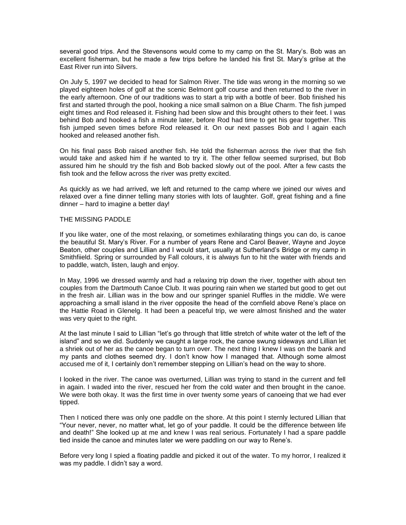several good trips. And the Stevensons would come to my camp on the St. Mary's. Bob was an excellent fisherman, but he made a few trips before he landed his first St. Mary's grilse at the East River run into Silvers.

On July 5, 1997 we decided to head for Salmon River. The tide was wrong in the morning so we played eighteen holes of golf at the scenic Belmont golf course and then returned to the river in the early afternoon. One of our traditions was to start a trip with a bottle of beer. Bob finished his first and started through the pool, hooking a nice small salmon on a Blue Charm. The fish jumped eight times and Rod released it. Fishing had been slow and this brought others to their feet. I was behind Bob and hooked a fish a minute later, before Rod had time to get his gear together. This fish jumped seven times before Rod released it. On our next passes Bob and I again each hooked and released another fish.

On his final pass Bob raised another fish. He told the fisherman across the river that the fish would take and asked him if he wanted to try it. The other fellow seemed surprised, but Bob assured him he should try the fish and Bob backed slowly out of the pool. After a few casts the fish took and the fellow across the river was pretty excited.

As quickly as we had arrived, we left and returned to the camp where we joined our wives and relaxed over a fine dinner telling many stories with lots of laughter. Golf, great fishing and a fine dinner – hard to imagine a better day!

## THE MISSING PADDLE

If you like water, one of the most relaxing, or sometimes exhilarating things you can do, is canoe the beautiful St. Mary's River. For a number of years Rene and Carol Beaver, Wayne and Joyce Beaton, other couples and Lillian and I would start, usually at Sutherland's Bridge or my camp in Smithfiield. Spring or surrounded by Fall colours, it is always fun to hit the water with friends and to paddle, watch, listen, laugh and enjoy.

In May, 1996 we dressed warmly and had a relaxing trip down the river, together with about ten couples from the Dartmouth Canoe Club. It was pouring rain when we started but good to get out in the fresh air. Lillian was in the bow and our springer spaniel Ruffles in the middle. We were approaching a small island in the river opposite the head of the cornfield above Rene's place on the Hattie Road in Glenelg. It had been a peaceful trip, we were almost finished and the water was very quiet to the right.

At the last minute I said to Lillian "let's go through that little stretch of white water ot the left of the island" and so we did. Suddenly we caught a large rock, the canoe swung sideways and Lillian let a shriek out of her as the canoe began to turn over. The next thing I knew I was on the bank and my pants and clothes seemed dry. I don't know how I managed that. Although some almost accused me of it, I certainly don't remember stepping on Lillian's head on the way to shore.

I looked in the river. The canoe was overturned, Lillian was trying to stand in the current and fell in again. I waded into the river, rescued her from the cold water and then brought in the canoe. We were both okay. It was the first time in over twenty some years of canoeing that we had ever tipped.

Then I noticed there was only one paddle on the shore. At this point I sternly lectured Lillian that "Your never, never, no matter what, let go of your paddle. It could be the difference between life and death!" She looked up at me and knew I was real serious. Fortunately I had a spare paddle tied inside the canoe and minutes later we were paddling on our way to Rene's.

Before very long I spied a floating paddle and picked it out of the water. To my horror, I realized it was my paddle. I didn't say a word.